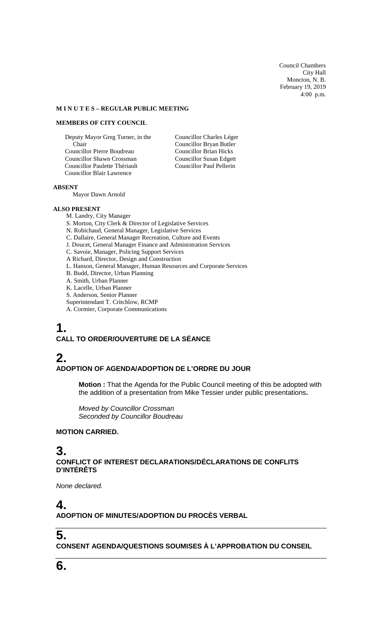Council Chambers City Hall Moncton, N. B. February 19, 2019 4:00 p.m.

#### **M I N U T E S – REGULAR PUBLIC MEETING**

#### **MEMBERS OF CITY COUNCIL**

Deputy Mayor Greg Turner, in the Chair Councillor Pierre Boudreau Councillor Shawn Crossman Councillor Paulette Thériault Councillor Blair Lawrence

Councillor Charles Léger Councillor Bryan Butler Councillor Brian Hicks Councillor Susan Edgett Councillor Paul Pellerin

#### **ABSENT**

Mayor Dawn Arnold

#### **ALSO PRESENT**

M. Landry, City Manager S. Morton, City Clerk & Director of Legislative Services N. Robichaud, General Manager, Legislative Services C. Dallaire, General Manager Recreation, Culture and Events J. Doucet, General Manager Finance and Administration Services C. Savoie, Manager, Policing Support Services A Richard, Director, Design and Construction L. Hanson, General Manager, Human Resources and Corporate Services B. Budd, Director, Urban Planning A. Smith, Urban Planner K. Lacelle, Urban Planner S. Anderson, Senior Planner Superintendant T. Critchlow, RCMP

A. Cormier, Corporate Communications

# **1.**

## **CALL TO ORDER/OUVERTURE DE LA SÉANCE**

# **2.**

#### **ADOPTION OF AGENDA/ADOPTION DE L'ORDRE DU JOUR**

**Motion :** That the Agenda for the Public Council meeting of this be adopted with the addition of a presentation from Mike Tessier under public presentations**.**

*Moved by Councillor Crossman Seconded by Councillor Boudreau*

## **MOTION CARRIED.**

## **3.**

#### **CONFLICT OF INTEREST DECLARATIONS/DÉCLARATIONS DE CONFLITS D'INTÉRÊTS**

*None declared.*

# **4.**

**ADOPTION OF MINUTES/ADOPTION DU PROCÈS VERBAL**

## **5.**

**CONSENT AGENDA/QUESTIONS SOUMISES À L'APPROBATION DU CONSEIL**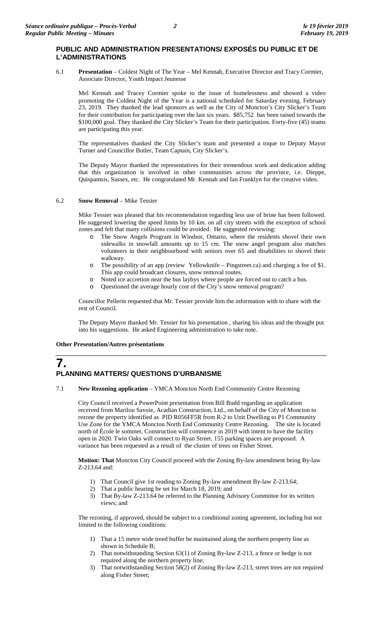## **PUBLIC AND ADMINISTRATION PRESENTATIONS/ EXPOSÉS DU PUBLIC ET DE L'ADMINISTRATIONS**

6.1 **Presentation** – Coldest Night of The Year – Mel Kennah, Executive Director and Tracy Cormier, Associate Director, Youth Impact Jeunesse

Mel Kennah and Tracey Cormier spoke to the issue of homelessness and showed a video promoting the Coldest Night of the Year is a national scheduled for Saturday evening, February 23, 2019. They thanked the lead sponsors as well as the City of Moncton's City Slicker's Team for their contribution for participating over the last six years. \$85,752 has been raised towards the \$100,000 goal. They thanked the City Slicker's Team for their participation. Forty-five (45) teams are participating this year.

The representatives thanked the City Slicker's team and presented a toque to Deputy Mayor Turner and Councillor Butler, Team Captain, City Slicker's.

The Deputy Mayor thanked the representatives for their tremendous work and dedication adding that this organization is involved in other communities across the province, i.e. Dieppe, Quispamsis, Sussex, etc. He congratulated Mr. Kennah and Ian Franklyn for the creative video.

#### 6.2 **Snow Removal** – Mike Tessier

Mike Tessier was pleased that his recommendation regarding less use of brine has been followed. He suggested lowering the speed limits by 10 km. on all city streets with the exception of school zones and felt that many collisions could be avoided. He suggested reviewing:

- o The Snow Angels Program in Windsor, Ontario, where the residents shovel their own sidewalks in snowfall amounts up to 15 cm. The snow angel program also matches volunteers in their neighbourhood with seniors over 65 and disabilities to shovel their walkway.
- o The possibility of an app (review Yellowknife Pingstreet.ca) and charging a fee of \$1. This app could broadcast closures, snow removal routes.
- o Noted ice accretion near the bus laybys where people are forced out to catch a bus.<br>O Ouestioned the average hourly cost of the City's snow removal program?
- Questioned the average hourly cost of the City's snow removal program?

Councillor Pellerin requested that Mr. Tessier provide him the information with to share with the rest of Council.

The Deputy Mayor thanked Mr. Tessier for his presentation , sharing his ideas and the thought put into his suggestions. He asked Engineering administration to take note.

#### **Other Presentation/Autres présentations**

## **7. PLANNING MATTERS/ QUESTIONS D'URBANISME**

7.1 **New Rezoning application** – YMCA Moncton North End Community Centre Rezoning

City Council received a PowerPoint presentation from Bill Budd regarding an application received from Marilou Savoie, Acadian Construction, Ltd., on behalf of the City of Moncton to rezone the property identified as PID R056FF5R from R-2 to Unit Dwelling to P1 Community Use Zone for the YMCA Moncton North End Community Centre Rezoning. The site is located north of École le sommet. Construction will commence in 2019 with intent to have the facility open in 2020. Twin Oaks will connect to Ryan Street. 155 parking spaces are proposed. A variance has been requested as a result of the cluster of trees on Fisher Street.

**Motion: That** Moncton City Council proceed with the Zoning By-law amendment being By-law Z-213.64 and:

- 1) That Council give 1st reading to Zoning By-law amendment By-law Z-213.64;
- 2) That a public hearing be set for March 18, 2019; and
- 3) That By-law Z-213.64 be referred to the Planning Advisory Committee for its written views; and

The rezoning, if approved, should be subject to a conditional zoning agreement, including but not limited to the following conditions:

- 1) That a 15 metre wide treed buffer be maintained along the northern property line as shown in Schedule B;
- 2) That notwithstanding Section 63(1) of Zoning By-law Z-213, a fence or hedge is not required along the northern property line;
- 3) That notwithstanding Section 58(2) of Zoning By-law Z-213, street trees are not required along Fisher Street;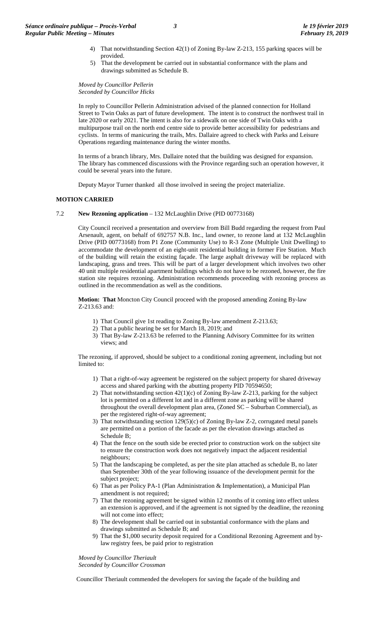- 4) That notwithstanding Section 42(1) of Zoning By-law Z-213, 155 parking spaces will be provided.
- 5) That the development be carried out in substantial conformance with the plans and drawings submitted as Schedule B.

*Moved by Councillor Pellerin Seconded by Councillor Hicks*

In reply to Councillor Pellerin Administration advised of the planned connection for Holland Street to Twin Oaks as part of future development. The intent is to construct the northwest trail in late 2020 or early 2021. The intent is also for a sidewalk on one side of Twin Oaks with a multipurpose trail on the north end centre side to provide better accessibility for pedestrians and cyclists. In terms of manicuring the trails, Mrs. Dallaire agreed to check with Parks and Leisure Operations regarding maintenance during the winter months.

In terms of a branch library, Mrs. Dallaire noted that the building was designed for expansion. The library has commenced discussions with the Province regarding such an operation however, it could be several years into the future.

Deputy Mayor Turner thanked all those involved in seeing the project materialize.

#### **MOTION CARRIED**

7.2 **New Rezoning application** – 132 McLaughlin Drive (PID 00773168)

City Council received a presentation and overview from Bill Budd regarding the request from Paul Arsenault, agent, on behalf of 692757 N.B. Inc., land owner, to rezone land at 132 McLaughlin Drive (PID 00773168) from P1 Zone (Community Use) to R-3 Zone (Multiple Unit Dwelling) to accommodate the development of an eight-unit residential building in former Fire Station. Much of the building will retain the existing façade. The large asphalt driveway will be replaced with landscaping, grass and trees. This will be part of a larger development which involves two other 40 unit multiple residential apartment buildings which do not have to be rezoned, however, the fire station site requires rezoning. Administration recommends proceeding with rezoning process as outlined in the recommendation as well as the conditions.

**Motion: That** Moncton City Council proceed with the proposed amending Zoning By-law Z-213.63 and:

- 1) That Council give 1st reading to Zoning By-law amendment Z-213.63;
- 2) That a public hearing be set for March 18, 2019; and
- 3) That By-law Z-213.63 be referred to the Planning Advisory Committee for its written views; and

The rezoning, if approved, should be subject to a conditional zoning agreement, including but not limited to:

- 1) That a right-of-way agreement be registered on the subject property for shared driveway access and shared parking with the abutting property PID 70594650;
- 2) That notwithstanding section 42(1)(c) of Zoning By-law Z-213, parking for the subject lot is permitted on a different lot and in a different zone as parking will be shared throughout the overall development plan area, (Zoned SC – Suburban Commercial), as per the registered right-of-way agreement;
- 3) That notwithstanding section 129(5)(c) of Zoning By-law Z-2, corrugated metal panels are permitted on a portion of the facade as per the elevation drawings attached as Schedule B;
- 4) That the fence on the south side be erected prior to construction work on the subject site to ensure the construction work does not negatively impact the adjacent residential neighbours;
- 5) That the landscaping be completed, as per the site plan attached as schedule B, no later than September 30th of the year following issuance of the development permit for the subject project;
- 6) That as per Policy PA-1 (Plan Administration & Implementation), a Municipal Plan amendment is not required;
- 7) That the rezoning agreement be signed within 12 months of it coming into effect unless an extension is approved, and if the agreement is not signed by the deadline, the rezoning will not come into effect;
- 8) The development shall be carried out in substantial conformance with the plans and drawings submitted as Schedule B; and
- 9) That the \$1,000 security deposit required for a Conditional Rezoning Agreement and bylaw registry fees, be paid prior to registration

*Moved by Councillor Theriault Seconded by Councillor Crossman*

Councillor Theriault commended the developers for saving the façade of the building and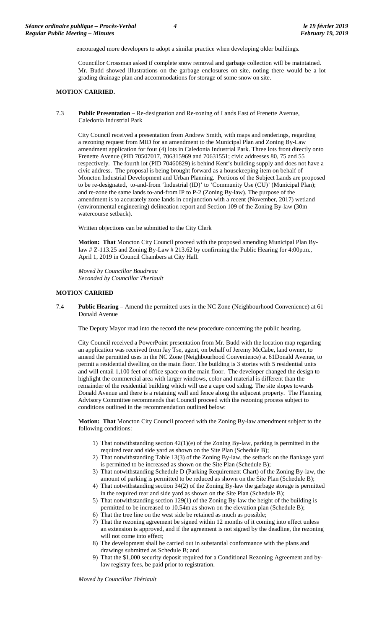encouraged more developers to adopt a similar practice when developing older buildings.

Councillor Crossman asked if complete snow removal and garbage collection will be maintained. Mr. Budd showed illustrations on the garbage enclosures on site, noting there would be a lot grading drainage plan and accommodations for storage of some snow on site.

#### **MOTION CARRIED.**

7.3 **Public Presentation** – Re-designation and Re-zoning of Lands East of Frenette Avenue, Caledonia Industrial Park

City Council received a presentation from Andrew Smith, with maps and renderings, regarding a rezoning request from MID for an amendment to the Municipal Plan and Zoning By-Law amendment application for four (4) lots in Caledonia Industrial Park. Three lots front directly onto Frenette Avenue (PID 70507017, 706315969 and 70631551; civic addresses 80, 75 and 55 respectively. The fourth lot (PID 70460829) is behind Kent's building supply and does not have a civic address. The proposal is being brought forward as a housekeeping item on behalf of Moncton Industrial Development and Urban Planning. Portions of the Subject Lands are proposed to be re-designated, to-and-from 'Industrial (ID)' to 'Community Use (CU)' (Municipal Plan); and re-zone the same lands to-and-from IP to P-2 (Zoning By-law). The purpose of the amendment is to accurately zone lands in conjunction with a recent (November, 2017) wetland (environmental engineering) delineation report and Section 109 of the Zoning By-law (30m watercourse setback).

Written objections can be submitted to the City Clerk

**Motion: That** Moncton City Council proceed with the proposed amending Municipal Plan Bylaw # Z-113.25 and Zoning By-Law # 213.62 by confirming the Public Hearing for 4:00p.m., April 1, 2019 in Council Chambers at City Hall.

*Moved by Councillor Boudreau Seconded by Councillor Theriault*

#### **MOTION CARRIED**

7.4 **Public Hearing –** Amend the permitted uses in the NC Zone (Neighbourhood Convenience) at 61 Donald Avenue

The Deputy Mayor read into the record the new procedure concerning the public hearing.

City Council received a PowerPoint presentation from Mr. Budd with the location map regarding an application was received from Jay Tse, agent, on behalf of Jeremy McCabe, land owner, to amend the permitted uses in the NC Zone (Neighbourhood Convenience) at 61Donald Avenue, to permit a residential dwelling on the main floor. The building is 3 stories with 5 residential units and will entail 1,100 feet of office space on the main floor. The developer changed the design to highlight the commercial area with larger windows, color and material is different than the remainder of the residential building which will use a cape cod siding. The site slopes towards Donald Avenue and there is a retaining wall and fence along the adjacent property. The Planning Advisory Committee recommends that Council proceed with the rezoning process subject to conditions outlined in the recommendation outlined below:

**Motion: That** Moncton City Council proceed with the Zoning By-law amendment subject to the following conditions:

- 1) That notwithstanding section 42(1)(e) of the Zoning By-law, parking is permitted in the required rear and side yard as shown on the Site Plan (Schedule B);
- 2) That notwithstanding Table 13(3) of the Zoning By-law, the setback on the flankage yard is permitted to be increased as shown on the Site Plan (Schedule B);
- 3) That notwithstanding Schedule D (Parking Requirement Chart) of the Zoning By-law, the amount of parking is permitted to be reduced as shown on the Site Plan (Schedule B);
- 4) That notwithstanding section 34(2) of the Zoning By-law the garbage storage is permitted in the required rear and side yard as shown on the Site Plan (Schedule B);
- 5) That notwithstanding section 129(1) of the Zoning By-law the height of the building is permitted to be increased to 10.54m as shown on the elevation plan (Schedule B);
- 6) That the tree line on the west side be retained as much as possible;
- 7) That the rezoning agreement be signed within 12 months of it coming into effect unless an extension is approved, and if the agreement is not signed by the deadline, the rezoning will not come into effect;
- 8) The development shall be carried out in substantial conformance with the plans and drawings submitted as Schedule B; and
- 9) That the \$1,000 security deposit required for a Conditional Rezoning Agreement and bylaw registry fees, be paid prior to registration.

*Moved by Councillor Thériault*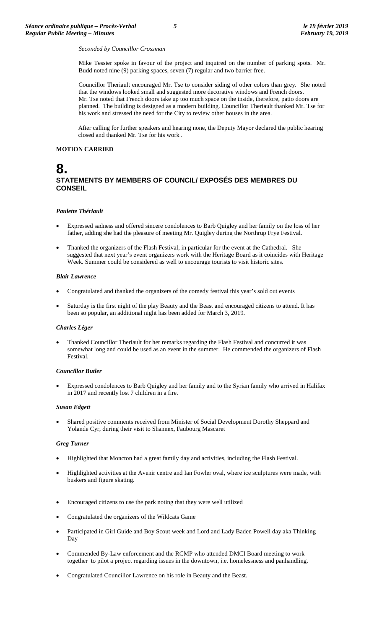#### *Seconded by Councillor Crossman*

Mike Tessier spoke in favour of the project and inquired on the number of parking spots. Mr. Budd noted nine (9) parking spaces, seven (7) regular and two barrier free.

Councillor Theriault encouraged Mr. Tse to consider siding of other colors than grey. She noted that the windows looked small and suggested more decorative windows and French doors. Mr. Tse noted that French doors take up too much space on the inside, therefore, patio doors are planned. The building is designed as a modern building. Councillor Theriault thanked Mr. Tse for his work and stressed the need for the City to review other houses in the area.

After calling for further speakers and hearing none, the Deputy Mayor declared the public hearing closed and thanked Mr. Tse for his work .

#### **MOTION CARRIED**

## **8. STATEMENTS BY MEMBERS OF COUNCIL/ EXPOSÉS DES MEMBRES DU CONSEIL**

#### *Paulette Thériault*

- Expressed sadness and offered sincere condolences to Barb Quigley and her family on the loss of her father, adding she had the pleasure of meeting Mr. Quigley during the Northrup Frye Festival.
- Thanked the organizers of the Flash Festival, in particular for the event at the Cathedral. She suggested that next year's event organizers work with the Heritage Board as it coincides with Heritage Week. Summer could be considered as well to encourage tourists to visit historic sites.

#### *Blair Lawrence*

- Congratulated and thanked the organizers of the comedy festival this year's sold out events
- Saturday is the first night of the play Beauty and the Beast and encouraged citizens to attend. It has been so popular, an additional night has been added for March 3, 2019.

#### *Charles Léger*

• Thanked Councillor Theriault for her remarks regarding the Flash Festival and concurred it was somewhat long and could be used as an event in the summer. He commended the organizers of Flash Festival.

#### *Councillor Butler*

• Expressed condolences to Barb Quigley and her family and to the Syrian family who arrived in Halifax in 2017 and recently lost 7 children in a fire.

#### *Susan Edgett*

• Shared positive comments received from Minister of Social Development Dorothy Sheppard and Yolande Cyr, during their visit to Shannex, Faubourg Mascaret

#### *Greg Turner*

- Highlighted that Moncton had a great family day and activities, including the Flash Festival.
- Highlighted activities at the Avenir centre and Ian Fowler oval, where ice sculptures were made, with buskers and figure skating.
- Encouraged citizens to use the park noting that they were well utilized
- Congratulated the organizers of the Wildcats Game
- Participated in Girl Guide and Boy Scout week and Lord and Lady Baden Powell day aka Thinking Day
- Commended By-Law enforcement and the RCMP who attended DMCI Board meeting to work together to pilot a project regarding issues in the downtown, i.e. homelessness and panhandling.
- Congratulated Councillor Lawrence on his role in Beauty and the Beast.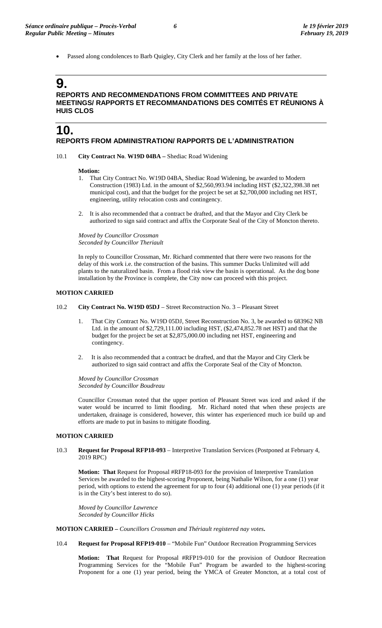• Passed along condolences to Barb Quigley, City Clerk and her family at the loss of her father.

## **9. REPORTS AND RECOMMENDATIONS FROM COMMITTEES AND PRIVATE MEETINGS/ RAPPORTS ET RECOMMANDATIONS DES COMITÉS ET RÉUNIONS À HUIS CLOS**

## **10. REPORTS FROM ADMINISTRATION/ RAPPORTS DE L'ADMINISTRATION**

10.1 **City Contract No**. **W19D 04BA –** Shediac Road Widening

#### **Motion:**

- 1. That City Contract No. W19D 04BA, Shediac Road Widening, be awarded to Modern Construction (1983) Ltd. in the amount of \$2,560,993.94 including HST (\$2,322,398.38 net municipal cost), and that the budget for the project be set at \$2,700,000 including net HST, engineering, utility relocation costs and contingency.
- 2. It is also recommended that a contract be drafted, and that the Mayor and City Clerk be authorized to sign said contract and affix the Corporate Seal of the City of Moncton thereto.

*Moved by Councillor Crossman Seconded by Councillor Theriault*

In reply to Councillor Crossman, Mr. Richard commented that there were two reasons for the delay of this work i.e. the construction of the basins. This summer Ducks Unlimited will add plants to the naturalized basin. From a flood risk view the basin is operational. As the dog bone installation by the Province is complete, the City now can proceed with this project.

#### **MOTION CARRIED**

- 10.2 **City Contract No. W19D 05DJ** Street Reconstruction No. 3 Pleasant Street
	- 1. That City Contract No. W19D 05DJ, Street Reconstruction No. 3, be awarded to 683962 NB Ltd. in the amount of \$2,729,111.00 including HST, (\$2,474,852.78 net HST) and that the budget for the project be set at \$2,875,000.00 including net HST, engineering and contingency.
	- 2. It is also recommended that a contract be drafted, and that the Mayor and City Clerk be authorized to sign said contract and affix the Corporate Seal of the City of Moncton.

*Moved by Councillor Crossman Seconded by Councillor Boudreau*

Councillor Crossman noted that the upper portion of Pleasant Street was iced and asked if the water would be incurred to limit flooding. Mr. Richard noted that when these projects are undertaken, drainage is considered, however, this winter has experienced much ice build up and efforts are made to put in basins to mitigate flooding.

#### **MOTION CARRIED**

10.3 **Request for Proposal RFP18-093** – Interpretive Translation Services (Postponed at February 4, 2019 RPC)

**Motion: That** Request for Proposal #RFP18-093 for the provision of Interpretive Translation Services be awarded to the highest-scoring Proponent, being Nathalie Wilson, for a one (1) year period, with options to extend the agreement for up to four (4) additional one (1) year periods (if it is in the City's best interest to do so).

*Moved by Councillor Lawrence Seconded by Councillor Hicks*

**MOTION CARRIED –** *Councillors Crossman and Thériault registered nay votes***.**

10.4 **Request for Proposal RFP19-010** – "Mobile Fun" Outdoor Recreation Programming Services

**Motion: That** Request for Proposal #RFP19-010 for the provision of Outdoor Recreation Programming Services for the "Mobile Fun" Program be awarded to the highest-scoring Proponent for a one (1) year period, being the YMCA of Greater Moncton, at a total cost of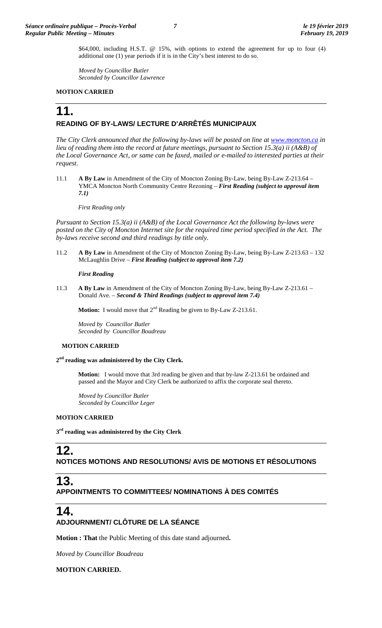\$64,000, including H.S.T. @ 15%, with options to extend the agreement for up to four (4) additional one (1) year periods if it is in the City's best interest to do so.

*Moved by Councillor Butler Seconded by Councillor Lawrence*

#### **MOTION CARRIED**

# **11.**

## **READING OF BY-LAWS/ LECTURE D'ARRÊTÉS MUNICIPAUX**

*The City Clerk announced that the following by-laws will be posted on line at [www.moncton.ca](http://www.moncton.ca/) in lieu of reading them into the record at future meetings, pursuant to Section 15.3(a) ii (A&B) of the Local Governance Act, or same can be faxed, mailed or e-mailed to interested parties at their request*.

11.1 **A By Law** in Amendment of the City of Moncton Zoning By-Law, being By-Law Z-213.64 – YMCA Moncton North Community Centre Rezoning – *First Reading (subject to approval item 7.1)*

*First Reading only*

*Pursuant to Section 15.3(a) ii (A&B) of the Local Governance Act the following by-laws were*  posted on the City of Moncton Internet site for the required time period specified in the Act. The *by-laws receive second and third readings by title only.*

11.2 **A By Law** in Amendment of the City of Moncton Zoning By-Law, being By-Law Z-213.63 – 132 McLaughlin Drive – *First Reading (subject to approval item 7.2)*

#### *First Reading*

11.3 **A By Law** in Amendment of the City of Moncton Zoning By-Law, being By-Law Z-213.61 – Donald Ave. – *Second & Third Readings (subject to approval item 7.4)* 

**Motion:** I would move that 2<sup>nd</sup> Reading be given to By-Law Z-213.61.

*Moved by Councillor Butler Seconded by Councillor Boudreau*

#### **MOTION CARRIED**

#### **2nd reading was administered by the City Clerk.**

**Motion:** I would move that 3rd reading be given and that by-law Z-213.61 be ordained and passed and the Mayor and City Clerk be authorized to affix the corporate seal thereto.

*Moved by Councillor Butler Seconded by Councillor Leger*

#### **MOTION CARRIED**

**3rd reading was administered by the City Clerk**

## **12. NOTICES MOTIONS AND RESOLUTIONS/ AVIS DE MOTIONS ET RÉSOLUTIONS**

# **13.**

**APPOINTMENTS TO COMMITTEES/ NOMINATIONS À DES COMITÉS**

## **14.**

## **ADJOURNMENT/ CLÔTURE DE LA SÉANCE**

**Motion : That** the Public Meeting of this date stand adjourned**.**

*Moved by Councillor Boudreau*

## **MOTION CARRIED.**